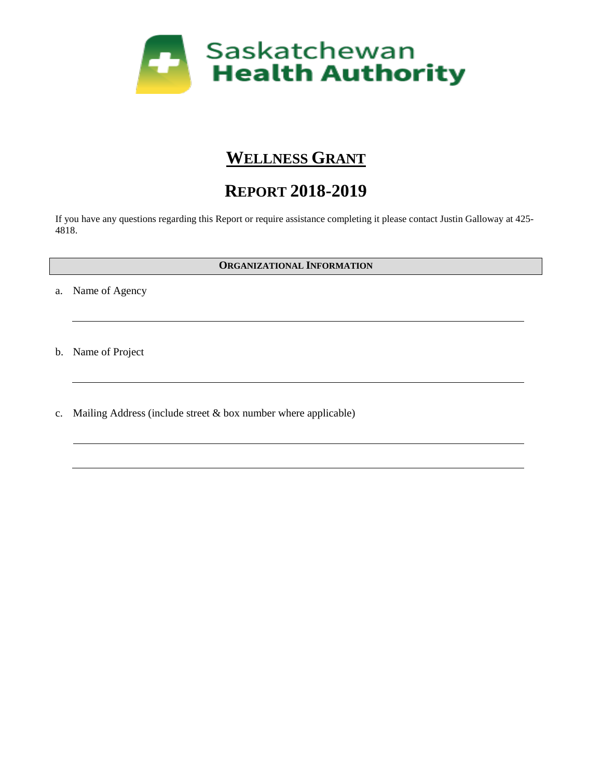

## **WELLNESS GRANT**

# **REPORT 2018-2019**

If you have any questions regarding this Report or require assistance completing it please contact Justin Galloway at 425- 4818.

#### **ORGANIZATIONAL INFORMATION**

a. Name of Agency

b. Name of Project

c. Mailing Address (include street & box number where applicable)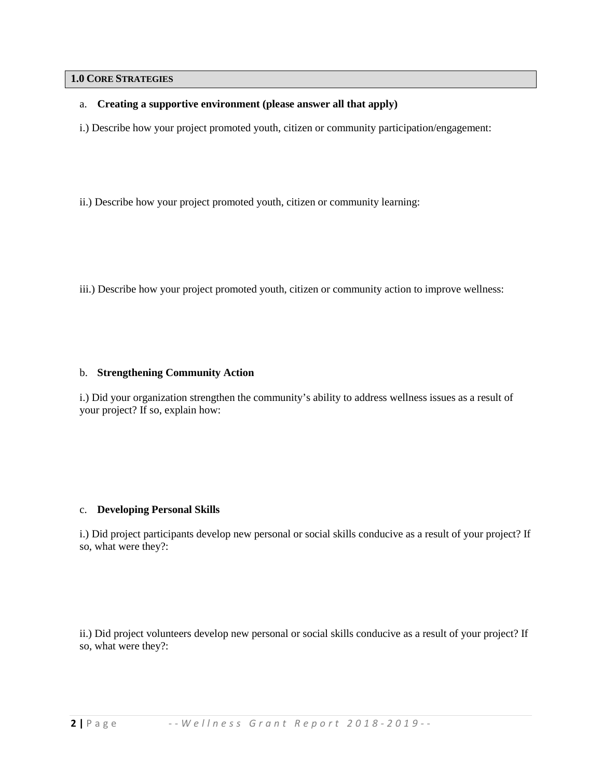#### **1.0 CORE STRATEGIES**

#### a. **Creating a supportive environment (please answer all that apply)**

i.) Describe how your project promoted youth, citizen or community participation/engagement:

- ii.) Describe how your project promoted youth, citizen or community learning:
- iii.) Describe how your project promoted youth, citizen or community action to improve wellness:

#### b. **Strengthening Community Action**

i.) Did your organization strengthen the community's ability to address wellness issues as a result of your project? If so, explain how:

#### c. **Developing Personal Skills**

i.) Did project participants develop new personal or social skills conducive as a result of your project? If so, what were they?:

ii.) Did project volunteers develop new personal or social skills conducive as a result of your project? If so, what were they?: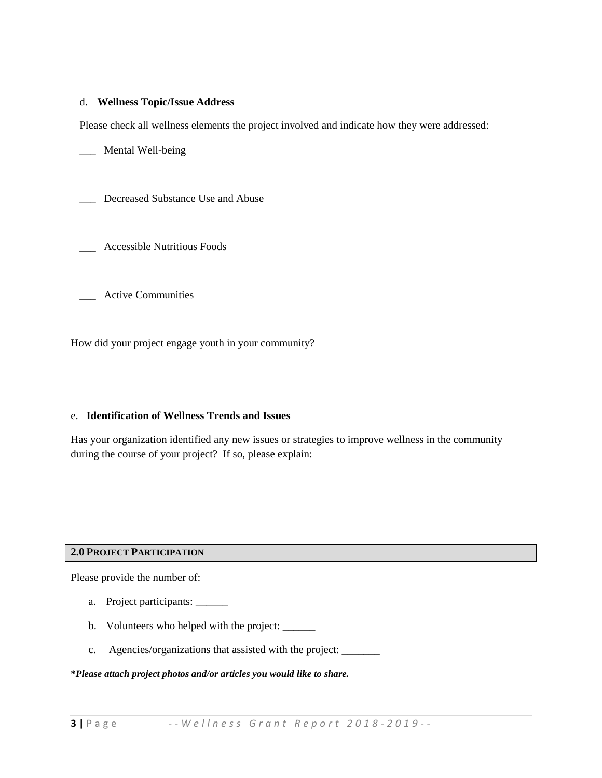#### d. **Wellness Topic/Issue Address**

Please check all wellness elements the project involved and indicate how they were addressed:

\_\_\_ Mental Well-being

\_\_\_ Decreased Substance Use and Abuse

\_\_\_ Accessible Nutritious Foods

\_\_\_ Active Communities

How did your project engage youth in your community?

#### e. **Identification of Wellness Trends and Issues**

Has your organization identified any new issues or strategies to improve wellness in the community during the course of your project? If so, please explain:

#### **2.0 PROJECT PARTICIPATION**

Please provide the number of:

- a. Project participants: \_\_\_\_\_\_\_\_
- b. Volunteers who helped with the project: \_\_\_\_\_\_
- c. Agencies/organizations that assisted with the project: \_\_\_\_\_\_\_

#### **\****Please attach project photos and/or articles you would like to share.*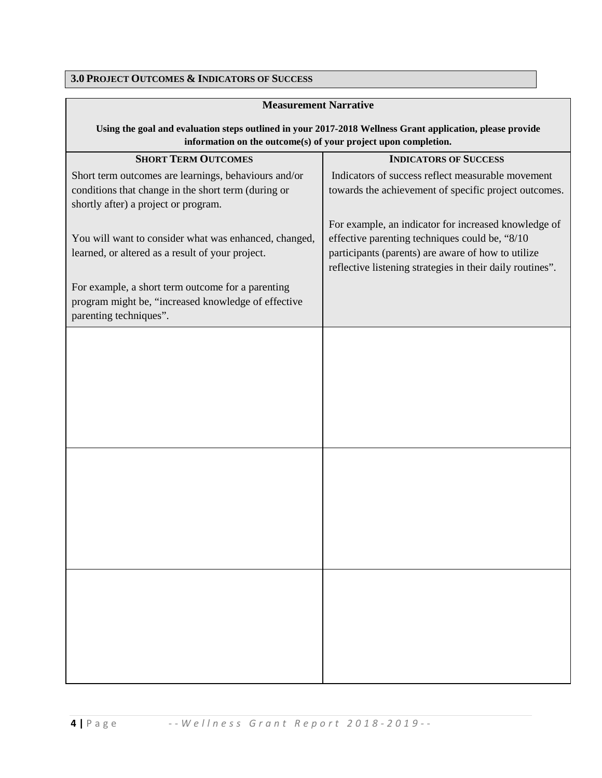### **3.0 PROJECT OUTCOMES & INDICATORS OF SUCCESS**

| <b>Measurement Narrative</b>                                                                                                                                                |                                                                                                                                                                                                                            |
|-----------------------------------------------------------------------------------------------------------------------------------------------------------------------------|----------------------------------------------------------------------------------------------------------------------------------------------------------------------------------------------------------------------------|
| Using the goal and evaluation steps outlined in your 2017-2018 Wellness Grant application, please provide<br>information on the outcome(s) of your project upon completion. |                                                                                                                                                                                                                            |
| <b>SHORT TERM OUTCOMES</b>                                                                                                                                                  | <b>INDICATORS OF SUCCESS</b>                                                                                                                                                                                               |
| Short term outcomes are learnings, behaviours and/or<br>conditions that change in the short term (during or<br>shortly after) a project or program.                         | Indicators of success reflect measurable movement<br>towards the achievement of specific project outcomes.                                                                                                                 |
| You will want to consider what was enhanced, changed,<br>learned, or altered as a result of your project.                                                                   | For example, an indicator for increased knowledge of<br>effective parenting techniques could be, "8/10"<br>participants (parents) are aware of how to utilize<br>reflective listening strategies in their daily routines". |
| For example, a short term outcome for a parenting<br>program might be, "increased knowledge of effective<br>parenting techniques".                                          |                                                                                                                                                                                                                            |
|                                                                                                                                                                             |                                                                                                                                                                                                                            |
|                                                                                                                                                                             |                                                                                                                                                                                                                            |
|                                                                                                                                                                             |                                                                                                                                                                                                                            |